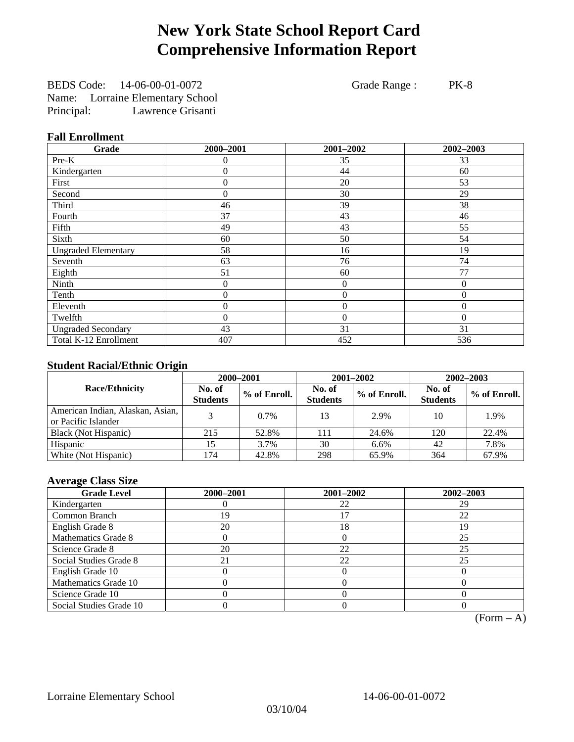# **New York State School Report Card Comprehensive Information Report**

BEDS Code: 14-06-00-01-0072 Grade Range : PK-8 Name: Lorraine Elementary School Principal: Lawrence Grisanti

#### **Fall Enrollment**

| Grade                      | 2000-2001        | 2001-2002        | 2002-2003      |
|----------------------------|------------------|------------------|----------------|
| Pre-K                      | 0                | 35               | 33             |
| Kindergarten               | $\overline{0}$   | 44               | 60             |
| First                      | $\overline{0}$   | 20               | 53             |
| Second                     | $\theta$         | 30               | 29             |
| Third                      | 46               | 39               | 38             |
| Fourth                     | 37               | 43               | 46             |
| Fifth                      | 49               | 43               | 55             |
| Sixth                      | 60               | 50               | 54             |
| <b>Ungraded Elementary</b> | 58               | 16               | 19             |
| Seventh                    | 63               | 76               | 74             |
| Eighth                     | 51               | 60               | 77             |
| Ninth                      | 0                | $\theta$         | $\theta$       |
| Tenth                      | $\boldsymbol{0}$ | $\boldsymbol{0}$ | $\theta$       |
| Eleventh                   | 0                | $\boldsymbol{0}$ | $\overline{0}$ |
| Twelfth                    | $\overline{0}$   | $\boldsymbol{0}$ | $\Omega$       |
| <b>Ungraded Secondary</b>  | 43               | 31               | 31             |
| Total K-12 Enrollment      | 407              | 452              | 536            |

### **Student Racial/Ethnic Origin**

|                                                         | 2000-2001                 |              |                           | 2001-2002    | $2002 - 2003$             |                |
|---------------------------------------------------------|---------------------------|--------------|---------------------------|--------------|---------------------------|----------------|
| <b>Race/Ethnicity</b>                                   | No. of<br><b>Students</b> | % of Enroll. | No. of<br><b>Students</b> | % of Enroll. | No. of<br><b>Students</b> | $%$ of Enroll. |
| American Indian, Alaskan, Asian,<br>or Pacific Islander |                           | $0.7\%$      | 13                        | 2.9%         | 10                        | 1.9%           |
| Black (Not Hispanic)                                    | 215                       | 52.8%        | 111                       | 24.6%        | 120                       | 22.4%          |
| Hispanic                                                |                           | 3.7%         | 30                        | 6.6%         | 42                        | 7.8%           |
| White (Not Hispanic)                                    | 174                       | 42.8%        | 298                       | 65.9%        | 364                       | 67.9%          |

### **Average Class Size**

| <b>Grade Level</b>      | 2000-2001 | 2001-2002 | 2002-2003 |
|-------------------------|-----------|-----------|-----------|
| Kindergarten            |           | 22        | 29        |
| Common Branch           | 19        |           | 22        |
| English Grade 8         | 20        | 18        | 19        |
| Mathematics Grade 8     |           |           | 25        |
| Science Grade 8         | 20        | 22        | 25        |
| Social Studies Grade 8  |           | 22        | 25        |
| English Grade 10        |           |           |           |
| Mathematics Grade 10    |           |           |           |
| Science Grade 10        |           |           |           |
| Social Studies Grade 10 |           |           |           |

 $(Form – A)$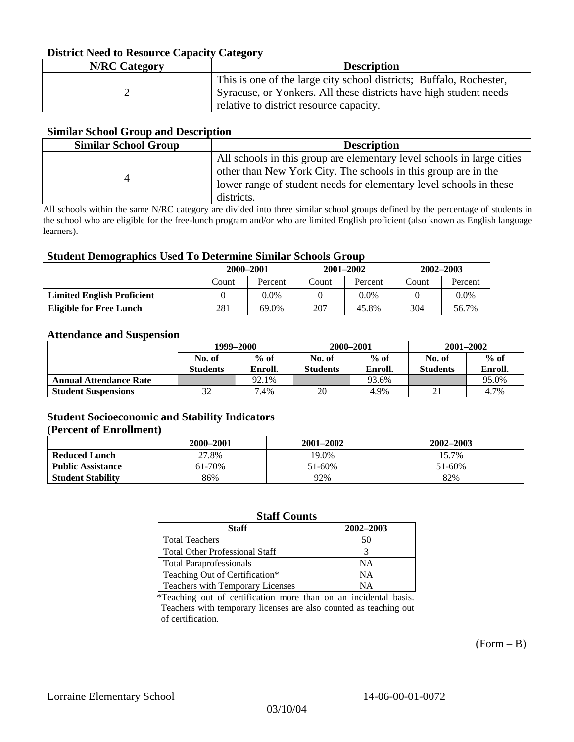#### **District Need to Resource Capacity Category**

| <b>N/RC Category</b> | <b>Description</b>                                                                                           |
|----------------------|--------------------------------------------------------------------------------------------------------------|
|                      | This is one of the large city school districts; Buffalo, Rochester,                                          |
|                      | Syracuse, or Yonkers. All these districts have high student needs<br>relative to district resource capacity. |

#### **Similar School Group and Description**

| <b>Similar School Group</b> | <b>Description</b>                                                                                                                                                                                                           |
|-----------------------------|------------------------------------------------------------------------------------------------------------------------------------------------------------------------------------------------------------------------------|
|                             | All schools in this group are elementary level schools in large cities<br>other than New York City. The schools in this group are in the<br>lower range of student needs for elementary level schools in these<br>districts. |

All schools within the same N/RC category are divided into three similar school groups defined by the percentage of students in the school who are eligible for the free-lunch program and/or who are limited English proficient (also known as English language learners).

#### **Student Demographics Used To Determine Similar Schools Group**

| 0                                 | 2000-2001 |         | $2001 - 2002$ |         | 2002–2003 |         |
|-----------------------------------|-----------|---------|---------------|---------|-----------|---------|
|                                   | Count     | Percent | Count         | Percent | Count     | Percent |
| <b>Limited English Proficient</b> |           | 0.0%    |               | 0.0%    |           | $0.0\%$ |
| Eligible for Free Lunch           | 281       | 69.0%   | 207           | 45.8%   | 304       | 56.7%   |

#### **Attendance and Suspension**

|                               | 1999–2000                 |                   |                           | 2000-2001         | $2001 - 2002$             |                   |
|-------------------------------|---------------------------|-------------------|---------------------------|-------------------|---------------------------|-------------------|
|                               | No. of<br><b>Students</b> | $%$ of<br>Enroll. | No. of<br><b>Students</b> | $%$ of<br>Enroll. | No. of<br><b>Students</b> | $%$ of<br>Enroll. |
| <b>Annual Attendance Rate</b> |                           | 92.1%             |                           | 93.6%             |                           | 95.0%             |
| <b>Student Suspensions</b>    | 32                        | 7.4%              | 20                        | 4.9%              |                           | 4.7%              |

### **Student Socioeconomic and Stability Indicators**

#### **(Percent of Enrollment)**

|                          | 2000–2001 | $2001 - 2002$ | $2002 - 2003$ |
|--------------------------|-----------|---------------|---------------|
| <b>Reduced Lunch</b>     | 27.8%     | 19.0%         | 15.7%         |
| <b>Public Assistance</b> | 61-70%    | 51-60%        | 51-60%        |
| <b>Student Stability</b> | 86%       | 92%           | 82%           |

### **Staff Counts**

| <b>Staff</b>                          | 2002-2003 |
|---------------------------------------|-----------|
| <b>Total Teachers</b>                 | 50        |
| <b>Total Other Professional Staff</b> |           |
| <b>Total Paraprofessionals</b>        | ΝA        |
| Teaching Out of Certification*        | NΑ        |
| Teachers with Temporary Licenses      | NΑ        |

\*Teaching out of certification more than on an incidental basis. Teachers with temporary licenses are also counted as teaching out of certification.

 $(Form - B)$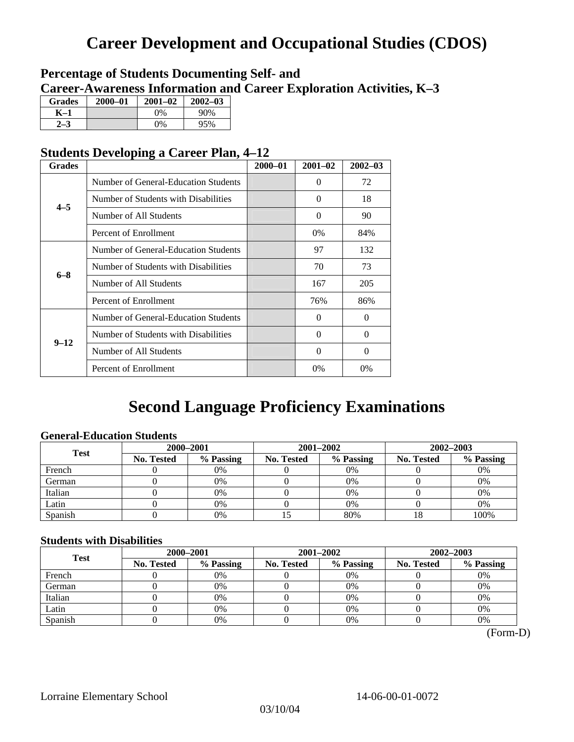# **Career Development and Occupational Studies (CDOS)**

### **Percentage of Students Documenting Self- and Career-Awareness Information and Career Exploration Activities, K–3**

| <b>Grades</b> | $2000 - 01$ | $2001 - 02$ | $2002 - 03$ |
|---------------|-------------|-------------|-------------|
| K–1           |             | $0\%$       | 90%         |
| $2 - 3$       |             | $0\%$       | 95%         |

### **Students Developing a Career Plan, 4–12**

| <b>Grades</b> |                                      | $2000 - 01$ | $2001 - 02$ | $2002 - 03$ |
|---------------|--------------------------------------|-------------|-------------|-------------|
|               | Number of General-Education Students |             | $\Omega$    | 72          |
| $4 - 5$       | Number of Students with Disabilities |             | $\Omega$    | 18          |
|               | Number of All Students               |             | $\Omega$    | 90          |
|               | Percent of Enrollment                |             | $0\%$       | 84%         |
|               | Number of General-Education Students |             | 97          | 132         |
| $6 - 8$       | Number of Students with Disabilities |             | 70          | 73          |
|               | Number of All Students               |             | 167         | 205         |
|               | Percent of Enrollment                |             | 76%         | 86%         |
|               | Number of General-Education Students |             | $\Omega$    | $\Omega$    |
| $9 - 12$      | Number of Students with Disabilities |             | $\Omega$    | 0           |
|               | Number of All Students               |             | $\Omega$    | $\theta$    |
|               | Percent of Enrollment                |             | 0%          | $0\%$       |

# **Second Language Proficiency Examinations**

### **General-Education Students**

| <b>Test</b> | 2000-2001         |           |                   | 2001-2002 | 2002-2003  |           |
|-------------|-------------------|-----------|-------------------|-----------|------------|-----------|
|             | <b>No. Tested</b> | % Passing | <b>No. Tested</b> | % Passing | No. Tested | % Passing |
| French      |                   | 0%        |                   | $0\%$     |            | 0%        |
| German      |                   | 0%        |                   | 0%        |            | 0%        |
| Italian     |                   | 0%        |                   | 0%        |            | 0%        |
| Latin       |                   | 0%        |                   | 0%        |            | 0%        |
| Spanish     |                   | 0%        |                   | 80%       | 10         | 100%      |

#### **Students with Disabilities**

| <b>Test</b> | 2000-2001  |           |            | 2001-2002 | 2002-2003  |           |  |
|-------------|------------|-----------|------------|-----------|------------|-----------|--|
|             | No. Tested | % Passing | No. Tested | % Passing | No. Tested | % Passing |  |
| French      |            | 0%        |            | 0%        |            | 0%        |  |
| German      |            | 0%        |            | $0\%$     |            | 0%        |  |
| Italian     |            | 0%        |            | 0%        |            | 0%        |  |
| Latin       |            | 0%        |            | 0%        |            | 0%        |  |
| Spanish     |            | 0%        |            | 0%        |            | 0%        |  |

(Form-D)